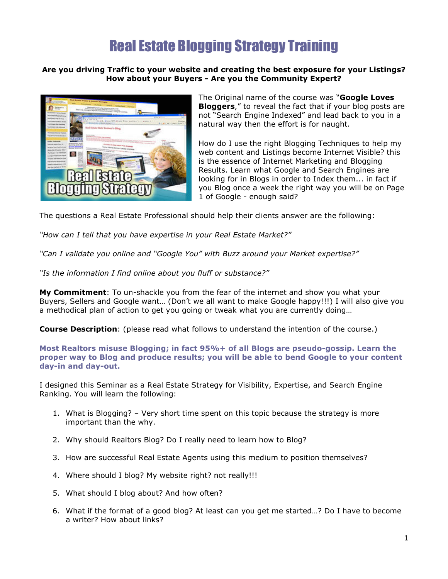## Real Estate Blogging Strategy Training

## **Are you driving Traffic to your website and creating the best exposure for your Listings? How about your Buyers - Are you the Community Expert?**



The Original name of the course was "**Google Loves Bloggers**," to reveal the fact that if your blog posts are not "Search Engine Indexed" and lead back to you in a natural way then the effort is for naught.

How do I use the right Blogging Techniques to help my web content and Listings become Internet Visible? this is the essence of Internet Marketing and Blogging Results. Learn what Google and Search Engines are looking for in Blogs in order to Index them... in fact if you Blog once a week the right way you will be on Page 1 of Google - enough said?

The questions a Real Estate Professional should help their clients answer are the following:

*"How can I tell that you have expertise in your Real Estate Market?"*

*"Can I validate you online and "Google You" with Buzz around your Market expertise?"*

*"Is the information I find online about you fluff or substance?"*

**My Commitment**: To un-shackle you from the fear of the internet and show you what your Buyers, Sellers and Google want… (Don't we all want to make Google happy!!!) I will also give you a methodical plan of action to get you going or tweak what you are currently doing…

**Course Description**: (please read what follows to understand the intention of the course.)

**Most Realtors misuse Blogging; in fact 95%+ of all Blogs are pseudo-gossip. Learn the proper way to Blog and produce results; you will be able to bend Google to your content day-in and day-out.**

I designed this Seminar as a Real Estate Strategy for Visibility, Expertise, and Search Engine Ranking. You will learn the following:

- 1. What is Blogging? Very short time spent on this topic because the strategy is more important than the why.
- 2. Why should Realtors Blog? Do I really need to learn how to Blog?
- 3. How are successful Real Estate Agents using this medium to position themselves?
- 4. Where should I blog? My website right? not really!!!
- 5. What should I blog about? And how often?
- 6. What if the format of a good blog? At least can you get me started…? Do I have to become a writer? How about links?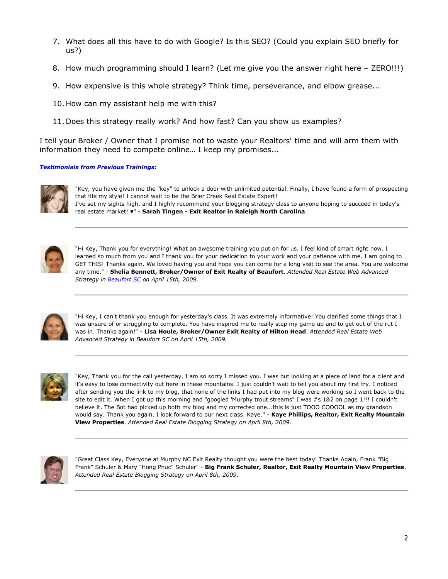- 7. What does all this have to do with Google? Is this SEO? (Could you explain SEO briefly for us?)
- 8. How much programming should I learn? (Let me give you the answer right here ZERO!!!)
- 9. How expensive is this whole strategy? Think time, perseverance, and elbow grease...
- 10. How can my assistant help me with this?
- 11. Does this strategy really work? And how fast? Can you show us examples?

I tell your Broker / Owner that I promise not to waste your Realtors' time and will arm them with information they need to compete online… I keep my promises...

## *Testimonials from Previous Trainings:*



"Key, you have given me the "key" to unlock a door with unlimited potential. Finally, I have found a form of prospecting that fits my style! I cannot wait to be the Brier Creek Real Estate Expert! I've set my sights high, and I highly recommend your blogging strategy class to anyone hoping to succeed in today's real estate market! ♥" - **Sarah Tingen - Exit Realtor in Raleigh North Carolina**.



"Hi Key, Thank you for everything! What an awesome training you put on for us. I feel kind of smart right now. I learned so much from you and I thank you for your dedication to your work and your patience with me. I am going to GET THIS! Thanks again. We loved having you and hope you can come for a long visit to see the area. You are welcome any time." - **Shelia Bennett, Broker/Owner of Exit Realty of Beaufort**. *Attended Real Estate Web Advanced Strategy in Beaufort SC on April 15th, 2009*.



"Hi Key, I can't thank you enough for yesterday's class. It was extremely informative! You clarified some things that I was unsure of or struggling to complete. You have inspired me to really step my game up and to get out of the rut I was in. Thanks again!" - **Lisa Houle, Broker/Owner Exit Realty of Hilton Head**. *Attended Real Estate Web Advanced Strategy in Beaufort SC on April 15th, 2009.* 



"Key, Thank you for the call yesterday, I am so sorry I missed you. I was out looking at a piece of land for a client and it's easy to lose connectivity out here in these mountains. I just couldn't wait to tell you about my first try. I noticed after sending you the link to my blog, that none of the links I had put into my blog were working-so I went back to the site to edit it. When I got up this morning and "googled 'Murphy trout streams" I was #s 1&2 on page 1!!! I couldn't believe it. The Bot had picked up both my blog and my corrected one...this is just TOOO COOOOL as my grandson would say. Thank you again. I look forward to our next class. Kaye." - **Kaye Phillips, Realtor, Exit Realty Mountain View Properties**. *Attended Real Estate Blogging Strategy on April 8th, 2009*.



"Great Class Key, Everyone at Murphy NC Exit Realty thought you were the best today! Thanks Again, Frank "Big Frank" Schuler & Mary "Hong Phuc" Schuler" - **Big Frank Schuler, Realtor, Exit Realty Mountain View Properties**. *Attended Real Estate Blogging Strategy on April 8th, 2009*.